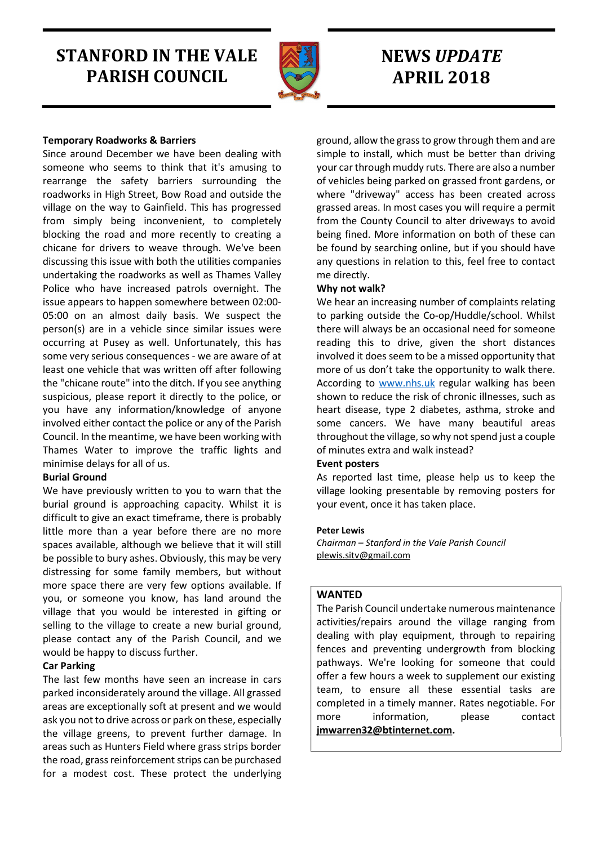# STANFORD IN THE VALE PARISH COUNCIL



# NEWS UPDATE APRIL 2018

# Temporary Roadworks & Barriers

Since around December we have been dealing with someone who seems to think that it's amusing to rearrange the safety barriers surrounding the roadworks in High Street, Bow Road and outside the village on the way to Gainfield. This has progressed from simply being inconvenient, to completely blocking the road and more recently to creating a chicane for drivers to weave through. We've been discussing this issue with both the utilities companies undertaking the roadworks as well as Thames Valley Police who have increased patrols overnight. The issue appears to happen somewhere between 02:00- 05:00 on an almost daily basis. We suspect the person(s) are in a vehicle since similar issues were occurring at Pusey as well. Unfortunately, this has some very serious consequences - we are aware of at least one vehicle that was written off after following the "chicane route" into the ditch. If you see anything suspicious, please report it directly to the police, or you have any information/knowledge of anyone involved either contact the police or any of the Parish Council. In the meantime, we have been working with Thames Water to improve the traffic lights and minimise delays for all of us.

### Burial Ground

We have previously written to you to warn that the burial ground is approaching capacity. Whilst it is difficult to give an exact timeframe, there is probably little more than a year before there are no more spaces available, although we believe that it will still be possible to bury ashes. Obviously, this may be very distressing for some family members, but without more space there are very few options available. If you, or someone you know, has land around the village that you would be interested in gifting or selling to the village to create a new burial ground, please contact any of the Parish Council, and we would be happy to discuss further.

### Car Parking

The last few months have seen an increase in cars parked inconsiderately around the village. All grassed areas are exceptionally soft at present and we would ask you not to drive across or park on these, especially the village greens, to prevent further damage. In areas such as Hunters Field where grass strips border the road, grass reinforcement strips can be purchased for a modest cost. These protect the underlying

ground, allow the grass to grow through them and are simple to install, which must be better than driving your car through muddy ruts. There are also a number of vehicles being parked on grassed front gardens, or where "driveway" access has been created across grassed areas. In most cases you will require a permit from the County Council to alter driveways to avoid being fined. More information on both of these can be found by searching online, but if you should have any questions in relation to this, feel free to contact me directly.

# Why not walk?

We hear an increasing number of complaints relating to parking outside the Co-op/Huddle/school. Whilst there will always be an occasional need for someone reading this to drive, given the short distances involved it does seem to be a missed opportunity that more of us don't take the opportunity to walk there. According to www.nhs.uk regular walking has been shown to reduce the risk of chronic illnesses, such as heart disease, type 2 diabetes, asthma, stroke and some cancers. We have many beautiful areas throughout the village, so why not spend just a couple of minutes extra and walk instead?

### Event posters

As reported last time, please help us to keep the village looking presentable by removing posters for your event, once it has taken place.

### Peter Lewis

Chairman – Stanford in the Vale Parish Council plewis.sitv@gmail.com

# WANTED

The Parish Council undertake numerous maintenance activities/repairs around the village ranging from dealing with play equipment, through to repairing fences and preventing undergrowth from blocking pathways. We're looking for someone that could offer a few hours a week to supplement our existing team, to ensure all these essential tasks are completed in a timely manner. Rates negotiable. For more information, please contact jmwarren32@btinternet.com.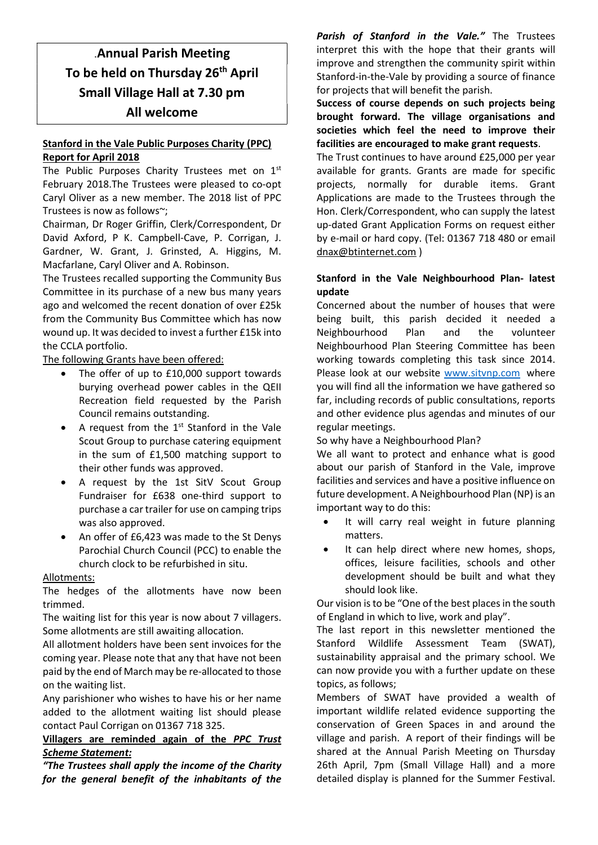# .Annual Parish Meeting To be held on Thursday 26<sup>th</sup> April Small Village Hall at 7.30 pm All welcome

# Stanford in the Vale Public Purposes Charity (PPC) Report for April 2018

The Public Purposes Charity Trustees met on 1<sup>st</sup> February 2018.The Trustees were pleased to co-opt Caryl Oliver as a new member. The 2018 list of PPC Trustees is now as follows~;

Chairman, Dr Roger Griffin, Clerk/Correspondent, Dr David Axford, P K. Campbell-Cave, P. Corrigan, J. Gardner, W. Grant, J. Grinsted, A. Higgins, M. Macfarlane, Caryl Oliver and A. Robinson.

The Trustees recalled supporting the Community Bus Committee in its purchase of a new bus many years ago and welcomed the recent donation of over £25k from the Community Bus Committee which has now wound up. It was decided to invest a further £15k into the CCLA portfolio.

The following Grants have been offered:

- The offer of up to £10,000 support towards burying overhead power cables in the QEII Recreation field requested by the Parish Council remains outstanding.
- A request from the  $1<sup>st</sup>$  Stanford in the Vale Scout Group to purchase catering equipment in the sum of £1,500 matching support to their other funds was approved.
- A request by the 1st SitV Scout Group Fundraiser for £638 one-third support to purchase a car trailer for use on camping trips was also approved.
- An offer of £6,423 was made to the St Denys Parochial Church Council (PCC) to enable the church clock to be refurbished in situ.

### Allotments:

The hedges of the allotments have now been trimmed.

The waiting list for this year is now about 7 villagers. Some allotments are still awaiting allocation.

All allotment holders have been sent invoices for the coming year. Please note that any that have not been paid by the end of March may be re-allocated to those on the waiting list.

Any parishioner who wishes to have his or her name added to the allotment waiting list should please contact Paul Corrigan on 01367 718 325.

# Villagers are reminded again of the PPC Trust Scheme Statement:

"The Trustees shall apply the income of the Charity for the general benefit of the inhabitants of the

Parish of Stanford in the Vale." The Trustees interpret this with the hope that their grants will improve and strengthen the community spirit within Stanford-in-the-Vale by providing a source of finance for projects that will benefit the parish.

Success of course depends on such projects being brought forward. The village organisations and societies which feel the need to improve their facilities are encouraged to make grant requests.

The Trust continues to have around £25,000 per year available for grants. Grants are made for specific projects, normally for durable items. Grant Applications are made to the Trustees through the Hon. Clerk/Correspondent, who can supply the latest up-dated Grant Application Forms on request either by e-mail or hard copy. (Tel: 01367 718 480 or email dnax@btinternet.com )

# Stanford in the Vale Neighbourhood Plan- latest update

Concerned about the number of houses that were being built, this parish decided it needed a Neighbourhood Plan and the volunteer Neighbourhood Plan Steering Committee has been working towards completing this task since 2014. Please look at our website www.sitvnp.com where you will find all the information we have gathered so far, including records of public consultations, reports and other evidence plus agendas and minutes of our regular meetings.

So why have a Neighbourhood Plan?

We all want to protect and enhance what is good about our parish of Stanford in the Vale, improve facilities and services and have a positive influence on future development. A Neighbourhood Plan (NP) is an important way to do this:

- It will carry real weight in future planning matters.
- It can help direct where new homes, shops, offices, leisure facilities, schools and other development should be built and what they should look like.

Our vision is to be "One of the best places in the south of England in which to live, work and play".

The last report in this newsletter mentioned the Stanford Wildlife Assessment Team (SWAT), sustainability appraisal and the primary school. We can now provide you with a further update on these topics, as follows;

Members of SWAT have provided a wealth of important wildlife related evidence supporting the conservation of Green Spaces in and around the village and parish. A report of their findings will be shared at the Annual Parish Meeting on Thursday 26th April, 7pm (Small Village Hall) and a more detailed display is planned for the Summer Festival.